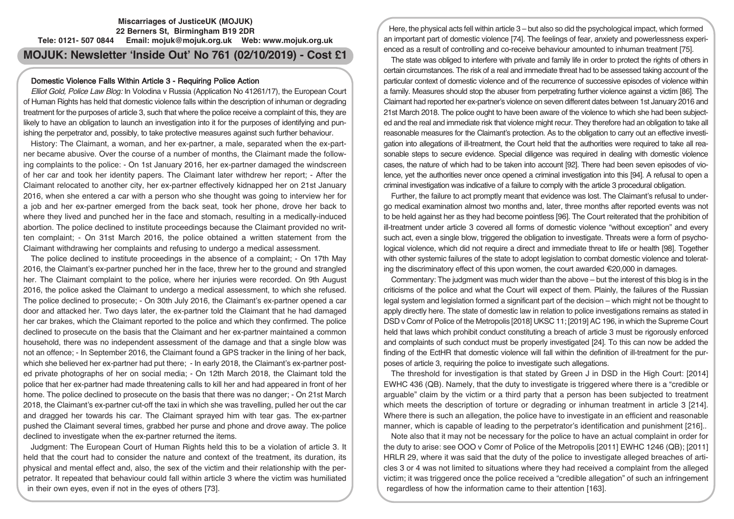# **Miscarriages of JusticeUK (MOJUK) 22 Berners St, Birmingham B19 2DR Tele: 0121- 507 0844 Email: mojuk@mojuk.org.uk Web: www.mojuk.org.uk**

# **MOJUK: Newsletter 'Inside Out' No 761 (02/10/2019) - Cost £1**

# Domestic Violence Falls Within Article 3 - Requiring Police Action

Elliot Gold, Police Law Blog: In Volodina v Russia (Application No 41261/17), the European Court of Human Rights has held that domestic violence falls within the description of inhuman or degrading treatment for the purposes of article 3, such that where the police receive a complaint of this, they are likely to have an obligation to launch an investigation into it for the purposes of identifying and punishing the perpetrator and, possibly, to take protective measures against such further behaviour.

History: The Claimant, a woman, and her ex-partner, a male, separated when the ex-partner became abusive. Over the course of a number of months, the Claimant made the following complaints to the police: - On 1st January 2016, her ex-partner damaged the windscreen of her car and took her identity papers. The Claimant later withdrew her report; - After the Claimant relocated to another city, her ex-partner effectively kidnapped her on 21st January 2016, when she entered a car with a person who she thought was going to interview her for a job and her ex-partner emerged from the back seat, took her phone, drove her back to where they lived and punched her in the face and stomach, resulting in a medically-induced abortion. The police declined to institute proceedings because the Claimant provided no written complaint; - On 31st March 2016, the police obtained a written statement from the Claimant withdrawing her complaints and refusing to undergo a medical assessment.

The police declined to institute proceedings in the absence of a complaint; - On 17th May 2016, the Claimant's ex-partner punched her in the face, threw her to the ground and strangled her. The Claimant complaint to the police, where her injuries were recorded. On 9th August 2016, the police asked the Claimant to undergo a medical assessment, to which she refused. The police declined to prosecute; - On 30th July 2016, the Claimant's ex-partner opened a car door and attacked her. Two days later, the ex-partner told the Claimant that he had damaged her car brakes, which the Claimant reported to the police and which they confirmed. The police declined to prosecute on the basis that the Claimant and her ex-partner maintained a common household, there was no independent assessment of the damage and that a single blow was not an offence; - In September 2016, the Claimant found a GPS tracker in the lining of her back, which she believed her ex-partner had put there; - In early 2018, the Claimant's ex-partner posted private photographs of her on social media; - On 12th March 2018, the Claimant told the police that her ex-partner had made threatening calls to kill her and had appeared in front of her home. The police declined to prosecute on the basis that there was no danger; - On 21st March 2018, the Claimant's ex-partner cut-off the taxi in which she was travelling, pulled her out the car and dragged her towards his car. The Claimant sprayed him with tear gas. The ex-partner pushed the Claimant several times, grabbed her purse and phone and drove away. The police declined to investigate when the ex-partner returned the items.

Judgment: The European Court of Human Rights held this to be a violation of article 3. It held that the court had to consider the nature and context of the treatment, its duration, its physical and mental effect and, also, the sex of the victim and their relationship with the perpetrator. It repeated that behaviour could fall within article 3 where the victim was humiliated in their own eyes, even if not in the eyes of others [73].

Here, the physical acts fell within article 3 – but also so did the psychological impact, which formed an important part of domestic violence [74]. The feelings of fear, anxiety and powerlessness experienced as a result of controlling and co-receive behaviour amounted to inhuman treatment [75].

The state was obliged to interfere with private and family life in order to protect the rights of others in certain circumstances. The risk of a real and immediate threat had to be assessed taking account of the particular context of domestic violence and of the recurrence of successive episodes of violence within a family. Measures should stop the abuser from perpetrating further violence against a victim [86]. The Claimant had reported her ex-partner's violence on seven different dates between 1st January 2016 and 21st March 2018. The police ought to have been aware of the violence to which she had been subjected and the real and immediate risk that violence might recur. They therefore had an obligation to take all reasonable measures for the Claimant's protection. As to the obligation to carry out an effective investigation into allegations of ill-treatment, the Court held that the authorities were required to take all reasonable steps to secure evidence. Special diligence was required in dealing with domestic violence cases, the nature of which had to be taken into account [92]. There had been seven episodes of violence, yet the authorities never once opened a criminal investigation into this [94]. A refusal to open a criminal investigation was indicative of a failure to comply with the article 3 procedural obligation.

Further, the failure to act promptly meant that evidence was lost. The Claimant's refusal to undergo medical examination almost two months and, later, three months after reported events was not to be held against her as they had become pointless [96]. The Court reiterated that the prohibition of ill-treatment under article 3 covered all forms of domestic violence "without exception" and every such act, even a single blow, triggered the obligation to investigate. Threats were a form of psychological violence, which did not require a direct and immediate threat to life or health [98]. Together with other systemic failures of the state to adopt legislation to combat domestic violence and tolerating the discriminatory effect of this upon women, the court awarded €20,000 in damages.

Commentary: The judgment was much wider than the above – but the interest of this blog is in the criticisms of the police and what the Court will expect of them. Plainly, the failures of the Russian legal system and legislation formed a significant part of the decision – which might not be thought to apply directly here. The state of domestic law in relation to police investigations remains as stated in DSD v Comr of Police of the Metropolis [2018] UKSC 11; [2019] AC 196, in which the Supreme Court held that laws which prohibit conduct constituting a breach of article 3 must be rigorously enforced and complaints of such conduct must be properly investigated [24]. To this can now be added the finding of the EctHR that domestic violence will fall within the definition of ill-treatment for the purposes of article 3, requiring the police to investigate such allegations.

The threshold for investigation is that stated by Green J in DSD in the High Court: [2014] EWHC 436 (QB). Namely, that the duty to investigate is triggered where there is a "credible or arguable" claim by the victim or a third party that a person has been subjected to treatment which meets the description of torture or degrading or inhuman treatment in article 3 [214]. Where there is such an allegation, the police have to investigate in an efficient and reasonable manner, which is capable of leading to the perpetrator's identification and punishment [216]..

Note also that it may not be necessary for the police to have an actual complaint in order for the duty to arise: see OOO v Comr of Police of the Metropolis [2011] EWHC 1246 (QB); [2011] HRLR 29, where it was said that the duty of the police to investigate alleged breaches of articles 3 or 4 was not limited to situations where they had received a complaint from the alleged victim; it was triggered once the police received a "credible allegation" of such an infringement regardless of how the information came to their attention [163].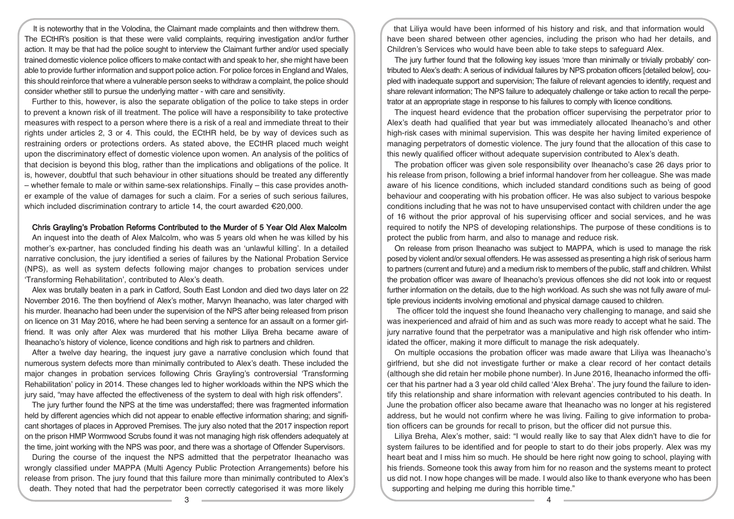It is noteworthy that in the Volodina, the Claimant made complaints and then withdrew them. The ECtHR's position is that these were valid complaints, requiring investigation and/or further action. It may be that had the police sought to interview the Claimant further and/or used specially trained domestic violence police officers to make contact with and speak to her, she might have been able to provide further information and support police action. For police forces in England and Wales, this should reinforce that where a vulnerable person seeks to withdraw a complaint, the police should consider whether still to pursue the underlying matter - with care and sensitivity.

Further to this, however, is also the separate obligation of the police to take steps in order to prevent a known risk of ill treatment. The police will have a responsibility to take protective measures with respect to a person where there is a risk of a real and immediate threat to their rights under articles 2, 3 or 4. This could, the ECtHR held, be by way of devices such as restraining orders or protections orders. As stated above, the ECtHR placed much weight upon the discriminatory effect of domestic violence upon women. An analysis of the politics of that decision is beyond this blog, rather than the implications and obligations of the police. It is, however, doubtful that such behaviour in other situations should be treated any differently – whether female to male or within same-sex relationships. Finally – this case provides another example of the value of damages for such a claim. For a series of such serious failures, which included discrimination contrary to article 14, the court awarded €20,000.

#### Chris Grayling's Probation Reforms Contributed to the Murder of 5 Year Old Alex Malcolm

An inquest into the death of Alex Malcolm, who was 5 years old when he was killed by his mother's ex-partner, has concluded finding his death was an 'unlawful killing'. In a detailed narrative conclusion, the jury identified a series of failures by the National Probation Service (NPS), as well as system defects following major changes to probation services under 'Transforming Rehabilitation', contributed to Alex's death.

Alex was brutally beaten in a park in Catford, South East London and died two days later on 22 November 2016. The then boyfriend of Alex's mother, Marvyn Iheanacho, was later charged with his murder. Iheanacho had been under the supervision of the NPS after being released from prison on licence on 31 May 2016, where he had been serving a sentence for an assault on a former girlfriend. It was only after Alex was murdered that his mother Liliya Breha became aware of Iheanacho's history of violence, licence conditions and high risk to partners and children.

After a twelve day hearing, the inquest jury gave a narrative conclusion which found that numerous system defects more than minimally contributed to Alex's death. These included the major changes in probation services following Chris Grayling's controversial 'Transforming Rehabilitation' policy in 2014. These changes led to higher workloads within the NPS which the jury said, "may have affected the effectiveness of the system to deal with high risk offenders".

The jury further found the NPS at the time was understaffed; there was fragmented information held by different agencies which did not appear to enable effective information sharing; and significant shortages of places in Approved Premises. The jury also noted that the 2017 inspection report on the prison HMP Wormwood Scrubs found it was not managing high risk offenders adequately at the time, joint working with the NPS was poor, and there was a shortage of Offender Supervisors.

During the course of the inquest the NPS admitted that the perpetrator Iheanacho was wrongly classified under MAPPA (Multi Agency Public Protection Arrangements) before his release from prison. The jury found that this failure more than minimally contributed to Alex's death. They noted that had the perpetrator been correctly categorised it was more likely

that Liliya would have been informed of his history and risk, and that information would have been shared between other agencies, including the prison who had her details, and Children's Services who would have been able to take steps to safeguard Alex.

The jury further found that the following key issues 'more than minimally or trivially probably' contributed to Alex's death: A serious of individual failures by NPS probation officers [detailed below], coupled with inadequate support and supervision; The failure of relevant agencies to identify, request and share relevant information; The NPS failure to adequately challenge or take action to recall the perpetrator at an appropriate stage in response to his failures to comply with licence conditions.

The inquest heard evidence that the probation officer supervising the perpetrator prior to Alex's death had qualified that year but was immediately allocated Iheanacho's and other high-risk cases with minimal supervision. This was despite her having limited experience of managing perpetrators of domestic violence. The jury found that the allocation of this case to this newly qualified officer without adequate supervision contributed to Alex's death.

The probation officer was given sole responsibility over Iheanacho's case 26 days prior to his release from prison, following a brief informal handover from her colleague. She was made aware of his licence conditions, which included standard conditions such as being of good behaviour and cooperating with his probation officer. He was also subject to various bespoke conditions including that he was not to have unsupervised contact with children under the age of 16 without the prior approval of his supervising officer and social services, and he was required to notify the NPS of developing relationships. The purpose of these conditions is to protect the public from harm, and also to manage and reduce risk.

On release from prison Iheanacho was subject to MAPPA, which is used to manage the risk posed by violent and/or sexual offenders. He was assessed as presenting a high risk of serious harm to partners (current and future) and a medium risk to members of the public, staff and children. Whilst the probation officer was aware of Iheanacho's previous offences she did not look into or request further information on the details, due to the high workload. As such she was not fully aware of multiple previous incidents involving emotional and physical damage caused to children.

The officer told the inquest she found Iheanacho very challenging to manage, and said she was inexperienced and afraid of him and as such was more ready to accept what he said. The jury narrative found that the perpetrator was a manipulative and high risk offender who intimidated the officer, making it more difficult to manage the risk adequately.

On multiple occasions the probation officer was made aware that Liliya was Iheanacho's girlfriend, but she did not investigate further or make a clear record of her contact details (although she did retain her mobile phone number). In June 2016, Iheanacho informed the officer that his partner had a 3 year old child called 'Alex Breha'. The jury found the failure to identify this relationship and share information with relevant agencies contributed to his death. In June the probation officer also became aware that Iheanacho was no longer at his registered address, but he would not confirm where he was living. Failing to give information to probation officers can be grounds for recall to prison, but the officer did not pursue this.

Liliya Breha, Alex's mother, said: "I would really like to say that Alex didn't have to die for system failures to be identified and for people to start to do their jobs properly. Alex was my heart beat and I miss him so much. He should be here right now going to school, playing with his friends. Someone took this away from him for no reason and the systems meant to protect us did not. I now hope changes will be made. I would also like to thank everyone who has been supporting and helping me during this horrible time."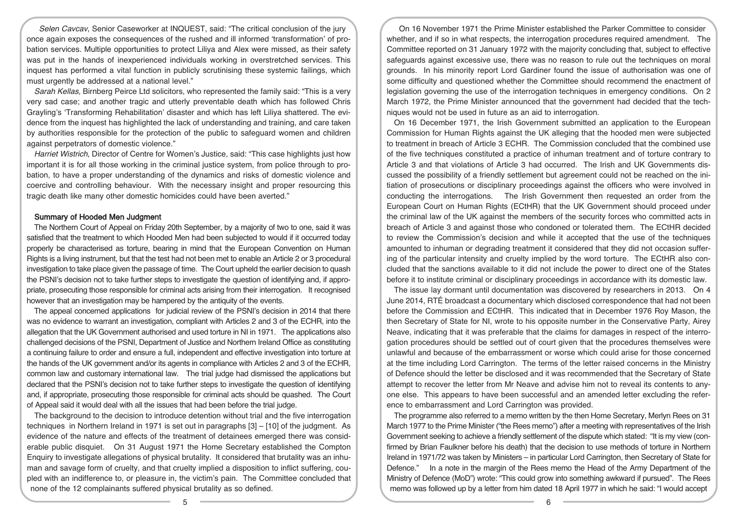Selen Cavcav, Senior Caseworker at INQUEST, said: "The critical conclusion of the jury once again exposes the consequences of the rushed and ill informed 'transformation' of probation services. Multiple opportunities to protect Liliya and Alex were missed, as their safety was put in the hands of inexperienced individuals working in overstretched services. This inquest has performed a vital function in publicly scrutinising these systemic failings, which must urgently be addressed at a national level."

Sarah Kellas, Birnberg Peirce Ltd solicitors, who represented the family said: "This is a very very sad case; and another tragic and utterly preventable death which has followed Chris Grayling's 'Transforming Rehabilitation' disaster and which has left Liliya shattered. The evidence from the inquest has highlighted the lack of understanding and training, and care taken by authorities responsible for the protection of the public to safeguard women and children against perpetrators of domestic violence."

Harriet Wistrich, Director of Centre for Women's Justice, said: "This case highlights just how important it is for all those working in the criminal justice system, from police through to probation, to have a proper understanding of the dynamics and risks of domestic violence and coercive and controlling behaviour. With the necessary insight and proper resourcing this tragic death like many other domestic homicides could have been averted."

## Summary of Hooded Men Judgment

The Northern Court of Appeal on Friday 20th September, by a majority of two to one, said it was satisfied that the treatment to which Hooded Men had been subjected to would if it occurred today properly be characterised as torture, bearing in mind that the European Convention on Human Rights is a living instrument, but that the test had not been met to enable an Article 2 or 3 procedural investigation to take place given the passage of time. The Court upheld the earlier decision to quash the PSNI's decision not to take further steps to investigate the question of identifying and, if appropriate, prosecuting those responsible for criminal acts arising from their interrogation. It recognised however that an investigation may be hampered by the antiquity of the events.

The appeal concerned applications for judicial review of the PSNI's decision in 2014 that there was no evidence to warrant an investigation, compliant with Articles 2 and 3 of the ECHR, into the allegation that the UK Government authorised and used torture in NI in 1971. The applications also challenged decisions of the PSNI, Department of Justice and Northern Ireland Office as constituting a continuing failure to order and ensure a full, independent and effective investigation into torture at the hands of the UK government and/or its agents in compliance with Articles 2 and 3 of the ECHR, common law and customary international law. The trial judge had dismissed the applications but declared that the PSNI's decision not to take further steps to investigate the question of identifying and, if appropriate, prosecuting those responsible for criminal acts should be quashed. The Court of Appeal said it would deal with all the issues that had been before the trial judge.

The background to the decision to introduce detention without trial and the five interrogation techniques in Northern Ireland in 1971 is set out in paragraphs [3] – [10] of the judgment. As evidence of the nature and effects of the treatment of detainees emerged there was considerable public disquiet. On 31 August 1971 the Home Secretary established the Compton Enquiry to investigate allegations of physical brutality. It considered that brutality was an inhuman and savage form of cruelty, and that cruelty implied a disposition to inflict suffering, coupled with an indifference to, or pleasure in, the victim's pain. The Committee concluded that none of the 12 complainants suffered physical brutality as so defined.

On 16 November 1971 the Prime Minister established the Parker Committee to consider whether, and if so in what respects, the interrogation procedures required amendment. The Committee reported on 31 January 1972 with the majority concluding that, subject to effective safeguards against excessive use, there was no reason to rule out the techniques on moral grounds. In his minority report Lord Gardiner found the issue of authorisation was one of some difficulty and questioned whether the Committee should recommend the enactment of legislation governing the use of the interrogation techniques in emergency conditions. On 2 March 1972, the Prime Minister announced that the government had decided that the techniques would not be used in future as an aid to interrogation.

On 16 December 1971, the Irish Government submitted an application to the European Commission for Human Rights against the UK alleging that the hooded men were subjected to treatment in breach of Article 3 ECHR. The Commission concluded that the combined use of the five techniques constituted a practice of inhuman treatment and of torture contrary to Article 3 and that violations of Article 3 had occurred. The Irish and UK Governments discussed the possibility of a friendly settlement but agreement could not be reached on the initiation of prosecutions or disciplinary proceedings against the officers who were involved in conducting the interrogations. The Irish Government then requested an order from the European Court on Human Rights (ECtHR) that the UK Government should proceed under the criminal law of the UK against the members of the security forces who committed acts in breach of Article 3 and against those who condoned or tolerated them. The ECtHR decided to review the Commission's decision and while it accepted that the use of the techniques amounted to inhuman or degrading treatment it considered that they did not occasion suffering of the particular intensity and cruelty implied by the word torture. The ECtHR also concluded that the sanctions available to it did not include the power to direct one of the States before it to institute criminal or disciplinary proceedings in accordance with its domestic law.

The issue lay dormant until documentation was discovered by researchers in 2013. On 4 June 2014, RTÉ broadcast a documentary which disclosed correspondence that had not been before the Commission and ECtHR. This indicated that in December 1976 Roy Mason, the then Secretary of State for NI, wrote to his opposite number in the Conservative Party, Airey Neave, indicating that it was preferable that the claims for damages in respect of the interrogation procedures should be settled out of court given that the procedures themselves were unlawful and because of the embarrassment or worse which could arise for those concerned at the time including Lord Carrington. The terms of the letter raised concerns in the Ministry of Defence should the letter be disclosed and it was recommended that the Secretary of State attempt to recover the letter from Mr Neave and advise him not to reveal its contents to anyone else. This appears to have been successful and an amended letter excluding the reference to embarrassment and Lord Carrington was provided.

The programme also referred to a memo written by the then Home Secretary, Merlyn Rees on 31 March 1977 to the Prime Minister ("the Rees memo") after a meeting with representatives of the Irish Government seeking to achieve a friendly settlement of the dispute which stated: "It is my view (confirmed by Brian Faulkner before his death) that the decision to use methods of torture in Northern Ireland in 1971/72 was taken by Ministers – in particular Lord Carrington, then Secretary of State for Defence." In a note in the margin of the Rees memo the Head of the Army Department of the Ministry of Defence (MoD") wrote: "This could grow into something awkward if pursued". The Rees memo was followed up by a letter from him dated 18 April 1977 in which he said: "I would accept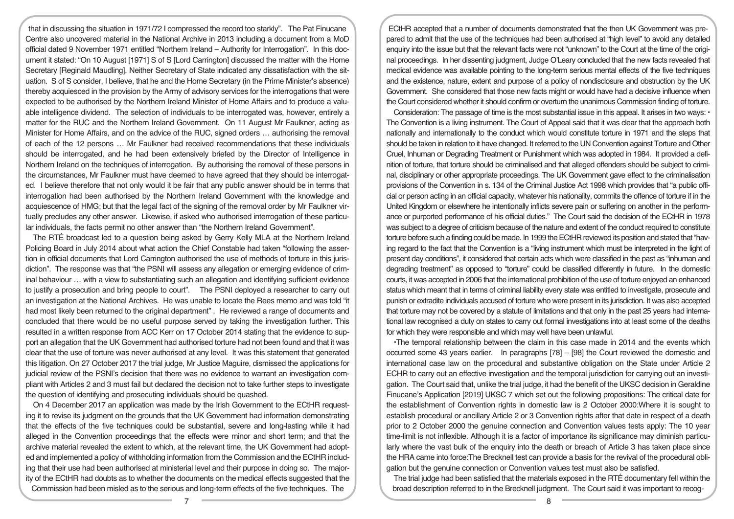that in discussing the situation in 1971/72 I compressed the record too starkly". The Pat Finucane Centre also uncovered material in the National Archive in 2013 including a document from a MoD official dated 9 November 1971 entitled "Northern Ireland – Authority for Interrogation". In this document it stated: "On 10 August [1971] S of S [Lord Carrington] discussed the matter with the Home Secretary [Reginald Maudling]. Neither Secretary of State indicated any dissatisfaction with the situation. S of S consider, I believe, that he and the Home Secretary (in the Prime Minister's absence) thereby acquiesced in the provision by the Army of advisory services for the interrogations that were expected to be authorised by the Northern Ireland Minister of Home Affairs and to produce a valuable intelligence dividend. The selection of individuals to be interrogated was, however, entirely a matter for the RUC and the Northern Ireland Government. On 11 August Mr Faulkner, acting as Minister for Home Affairs, and on the advice of the RUC, signed orders … authorising the removal of each of the 12 persons … Mr Faulkner had received recommendations that these individuals should be interrogated, and he had been extensively briefed by the Director of Intelligence in Northern Ireland on the techniques of interrogation. By authorising the removal of these persons in the circumstances, Mr Faulkner must have deemed to have agreed that they should be interrogated. I believe therefore that not only would it be fair that any public answer should be in terms that interrogation had been authorised by the Northern Ireland Government with the knowledge and acquiescence of HMG; but that the legal fact of the signing of the removal order by Mr Faulkner virtually precludes any other answer. Likewise, if asked who authorised interrogation of these particular individuals, the facts permit no other answer than "the Northern Ireland Government".

The RTÉ broadcast led to a question being asked by Gerry Kelly MLA at the Northern Ireland Policing Board in July 2014 about what action the Chief Constable had taken "following the assertion in official documents that Lord Carrington authorised the use of methods of torture in this jurisdiction". The response was that "the PSNI will assess any allegation or emerging evidence of criminal behaviour … with a view to substantiating such an allegation and identifying sufficient evidence to justify a prosecution and bring people to court". The PSNI deployed a researcher to carry out an investigation at the National Archives. He was unable to locate the Rees memo and was told "it had most likely been returned to the original department" . He reviewed a range of documents and concluded that there would be no useful purpose served by taking the investigation further. This resulted in a written response from ACC Kerr on 17 October 2014 stating that the evidence to support an allegation that the UK Government had authorised torture had not been found and that it was clear that the use of torture was never authorised at any level. It was this statement that generated this litigation. On 27 October 2017 the trial judge, Mr Justice Maguire, dismissed the applications for judicial review of the PSNI's decision that there was no evidence to warrant an investigation compliant with Articles 2 and 3 must fail but declared the decision not to take further steps to investigate the question of identifying and prosecuting individuals should be quashed.

On 4 December 2017 an application was made by the Irish Government to the ECtHR requesting it to revise its judgment on the grounds that the UK Government had information demonstrating that the effects of the five techniques could be substantial, severe and long-lasting while it had alleged in the Convention proceedings that the effects were minor and short term; and that the archive material revealed the extent to which, at the relevant time, the UK Government had adopted and implemented a policy of withholding information from the Commission and the ECtHR including that their use had been authorised at ministerial level and their purpose in doing so. The majority of the ECtHR had doubts as to whether the documents on the medical effects suggested that the Commission had been misled as to the serious and long-term effects of the five techniques. The

ECtHR accepted that a number of documents demonstrated that the then UK Government was prepared to admit that the use of the techniques had been authorised at "high level" to avoid any detailed enquiry into the issue but that the relevant facts were not "unknown" to the Court at the time of the original proceedings. In her dissenting judgment, Judge O'Leary concluded that the new facts revealed that medical evidence was available pointing to the long-term serious mental effects of the five techniques and the existence, nature, extent and purpose of a policy of nondisclosure and obstruction by the UK Government. She considered that those new facts might or would have had a decisive influence when the Court considered whether it should confirm or overturn the unanimous Commission finding of torture.

Consideration: The passage of time is the most substantial issue in this appeal. It arises in two ways: • The Convention is a living instrument. The Court of Appeal said that it was clear that the approach both nationally and internationally to the conduct which would constitute torture in 1971 and the steps that should be taken in relation to it have changed. It referred to the UN Convention against Torture and Other Cruel, Inhuman or Degrading Treatment or Punishment which was adopted in 1984. It provided a definition of torture, that torture should be criminalised and that alleged offenders should be subject to criminal, disciplinary or other appropriate proceedings. The UK Government gave effect to the criminalisation provisions of the Convention in s. 134 of the Criminal Justice Act 1998 which provides that "a public official or person acting in an official capacity, whatever his nationality, commits the offence of torture if in the United Kingdom or elsewhere he intentionally inflicts severe pain or suffering on another in the performance or purported performance of his official duties." The Court said the decision of the ECtHR in 1978 was subject to a degree of criticism because of the nature and extent of the conduct required to constitute torture before such a finding could be made. In 1999 the ECtHR reviewed its position and stated that "having regard to the fact that the Convention is a "living instrument which must be interpreted in the light of present day conditions", it considered that certain acts which were classified in the past as "inhuman and degrading treatment" as opposed to "torture" could be classified differently in future. In the domestic courts, it was accepted in 2006 that the international prohibition of the use of torture enjoyed an enhanced status which meant that in terms of criminal liability every state was entitled to investigate, prosecute and punish or extradite individuals accused of torture who were present in its jurisdiction. It was also accepted that torture may not be covered by a statute of limitations and that only in the past 25 years had international law recognised a duty on states to carry out formal investigations into at least some of the deaths for which they were responsible and which may well have been unlawful.

•The temporal relationship between the claim in this case made in 2014 and the events which occurred some 43 years earlier. In paragraphs [78] – [98] the Court reviewed the domestic and international case law on the procedural and substantive obligation on the State under Article 2 ECHR to carry out an effective investigation and the temporal jurisdiction for carrying out an investigation. The Court said that, unlike the trial judge, it had the benefit of the UKSC decision in Geraldine Finucane's Application [2019] UKSC 7 which set out the following propositions: The critical date for the establishment of Convention rights in domestic law is 2 October 2000:Where it is sought to establish procedural or ancillary Article 2 or 3 Convention rights after that date in respect of a death prior to 2 October 2000 the genuine connection and Convention values tests apply: The 10 year time-limit is not inflexible. Although it is a factor of importance its significance may diminish particularly where the vast bulk of the enquiry into the death or breach of Article 3 has taken place since the HRA came into force:The Brecknell test can provide a basis for the revival of the procedural obligation but the genuine connection or Convention values test must also be satisfied.

The trial judge had been satisfied that the materials exposed in the RTÉ documentary fell within the broad description referred to in the Brecknell judgment. The Court said it was important to recog-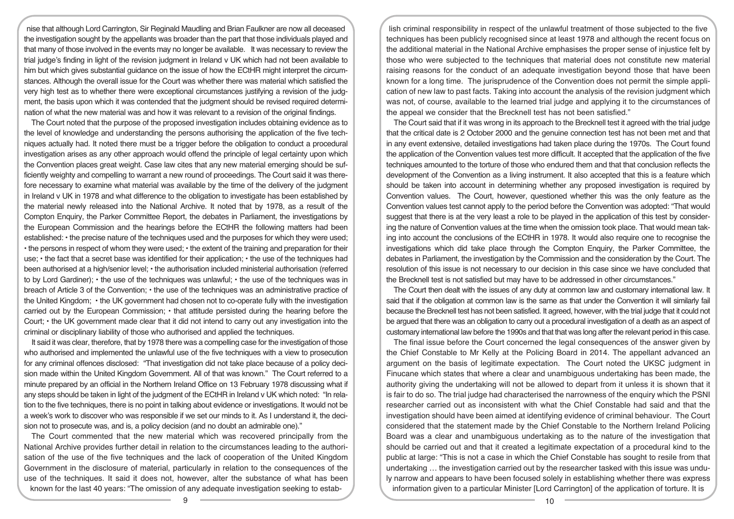nise that although Lord Carrington, Sir Reginald Maudling and Brian Faulkner are now all deceased the investigation sought by the appellants was broader than the part that those individuals played and that many of those involved in the events may no longer be available. It was necessary to review the trial judge's finding in light of the revision judgment in Ireland v UK which had not been available to him but which gives substantial guidance on the issue of how the ECtHR might interpret the circumstances. Although the overall issue for the Court was whether there was material which satisfied the very high test as to whether there were exceptional circumstances justifying a revision of the judgment, the basis upon which it was contended that the judgment should be revised required determination of what the new material was and how it was relevant to a revision of the original findings.

The Court noted that the purpose of the proposed investigation includes obtaining evidence as to the level of knowledge and understanding the persons authorising the application of the five techniques actually had. It noted there must be a trigger before the obligation to conduct a procedural investigation arises as any other approach would offend the principle of legal certainty upon which the Convention places great weight. Case law cites that any new material emerging should be sufficiently weighty and compelling to warrant a new round of proceedings. The Court said it was therefore necessary to examine what material was available by the time of the delivery of the judgment in Ireland v UK in 1978 and what difference to the obligation to investigate has been established by the material newly released into the National Archive. It noted that by 1978, as a result of the Compton Enquiry, the Parker Committee Report, the debates in Parliament, the investigations by the European Commission and the hearings before the ECtHR the following matters had been established: • the precise nature of the techniques used and the purposes for which they were used; • the persons in respect of whom they were used; • the extent of the training and preparation for their use; • the fact that a secret base was identified for their application; • the use of the techniques had been authorised at a high/senior level; • the authorisation included ministerial authorisation (referred to by Lord Gardiner); • the use of the techniques was unlawful; • the use of the techniques was in breach of Article 3 of the Convention; • the use of the techniques was an administrative practice of the United Kingdom; • the UK government had chosen not to co-operate fully with the investigation carried out by the European Commission; • that attitude persisted during the hearing before the Court; • the UK government made clear that it did not intend to carry out any investigation into the criminal or disciplinary liability of those who authorised and applied the techniques.

It said it was clear, therefore, that by 1978 there was a compelling case for the investigation of those who authorised and implemented the unlawful use of the five techniques with a view to prosecution for any criminal offences disclosed: "That investigation did not take place because of a policy decision made within the United Kingdom Government. All of that was known." The Court referred to a minute prepared by an official in the Northern Ireland Office on 13 February 1978 discussing what if any steps should be taken in light of the judgment of the ECtHR in Ireland v UK which noted: "In relation to the five techniques, there is no point in talking about evidence or investigations. It would not be a week's work to discover who was responsible if we set our minds to it. As I understand it, the decision not to prosecute was, and is, a policy decision (and no doubt an admirable one)."

The Court commented that the new material which was recovered principally from the National Archive provides further detail in relation to the circumstances leading to the authorisation of the use of the five techniques and the lack of cooperation of the United Kingdom Government in the disclosure of material, particularly in relation to the consequences of the use of the techniques. It said it does not, however, alter the substance of what has been known for the last 40 years: "The omission of any adequate investigation seeking to estab-

lish criminal responsibility in respect of the unlawful treatment of those subjected to the five techniques has been publicly recognised since at least 1978 and although the recent focus on the additional material in the National Archive emphasises the proper sense of injustice felt by those who were subjected to the techniques that material does not constitute new material raising reasons for the conduct of an adequate investigation beyond those that have been known for a long time. The jurisprudence of the Convention does not permit the simple application of new law to past facts. Taking into account the analysis of the revision judgment which was not, of course, available to the learned trial judge and applying it to the circumstances of the appeal we consider that the Brecknell test has not been satisfied."

The Court said that if it was wrong in its approach to the Brecknell test it agreed with the trial judge that the critical date is 2 October 2000 and the genuine connection test has not been met and that in any event extensive, detailed investigations had taken place during the 1970s. The Court found the application of the Convention values test more difficult. It accepted that the application of the five techniques amounted to the torture of those who endured them and that that conclusion reflects the development of the Convention as a living instrument. It also accepted that this is a feature which should be taken into account in determining whether any proposed investigation is required by Convention values. The Court, however, questioned whether this was the only feature as the Convention values test cannot apply to the period before the Convention was adopted: "That would suggest that there is at the very least a role to be played in the application of this test by considering the nature of Convention values at the time when the omission took place. That would mean taking into account the conclusions of the ECtHR in 1978. It would also require one to recognise the investigations which did take place through the Compton Enquiry, the Parker Committee, the debates in Parliament, the investigation by the Commission and the consideration by the Court. The resolution of this issue is not necessary to our decision in this case since we have concluded that the Brecknell test is not satisfied but may have to be addressed in other circumstances."

The Court then dealt with the issues of any duty at common law and customary international law. It said that if the obligation at common law is the same as that under the Convention it will similarly fail because the Brecknell test has not been satisfied. It agreed, however, with the trial judge that it could not be argued that there was an obligation to carry out a procedural investigation of a death as an aspect of customary international law before the 1990s and that that was long after the relevant period in this case.

The final issue before the Court concerned the legal consequences of the answer given by the Chief Constable to Mr Kelly at the Policing Board in 2014. The appellant advanced an argument on the basis of legitimate expectation. The Court noted the UKSC judgment in Finucane which states that where a clear and unambiguous undertaking has been made, the authority giving the undertaking will not be allowed to depart from it unless it is shown that it is fair to do so. The trial judge had characterised the narrowness of the enquiry which the PSNI researcher carried out as inconsistent with what the Chief Constable had said and that the investigation should have been aimed at identifying evidence of criminal behaviour. The Court considered that the statement made by the Chief Constable to the Northern Ireland Policing Board was a clear and unambiguous undertaking as to the nature of the investigation that should be carried out and that it created a legitimate expectation of a procedural kind to the public at large: "This is not a case in which the Chief Constable has sought to resile from that undertaking … the investigation carried out by the researcher tasked with this issue was unduly narrow and appears to have been focused solely in establishing whether there was express information given to a particular Minister [Lord Carrington] of the application of torture. It is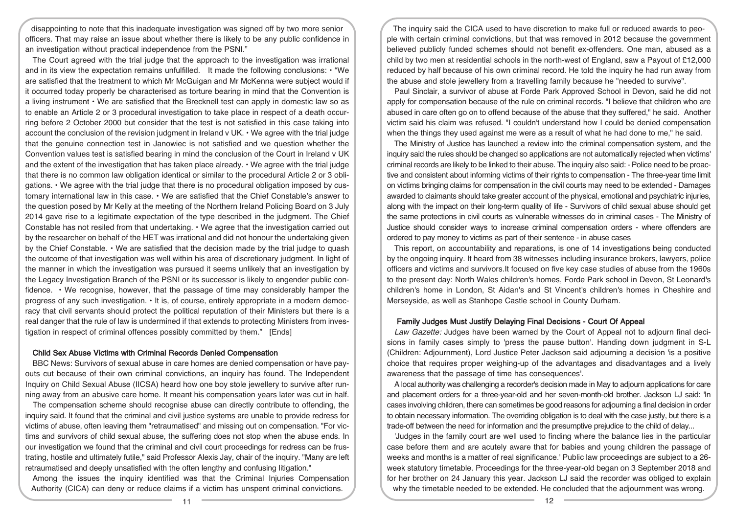disappointing to note that this inadequate investigation was signed off by two more senior officers. That may raise an issue about whether there is likely to be any public confidence in an investigation without practical independence from the PSNI."

The Court agreed with the trial judge that the approach to the investigation was irrational and in its view the expectation remains unfulfilled. It made the following conclusions: • "We are satisfied that the treatment to which Mr McGuigan and Mr McKenna were subject would if it occurred today properly be characterised as torture bearing in mind that the Convention is a living instrument • We are satisfied that the Brecknell test can apply in domestic law so as to enable an Article 2 or 3 procedural investigation to take place in respect of a death occurring before 2 October 2000 but consider that the test is not satisfied in this case taking into account the conclusion of the revision judgment in Ireland v UK. • We agree with the trial judge that the genuine connection test in Janowiec is not satisfied and we question whether the Convention values test is satisfied bearing in mind the conclusion of the Court in Ireland v UK and the extent of the investigation that has taken place already. • We agree with the trial judge that there is no common law obligation identical or similar to the procedural Article 2 or 3 obligations. • We agree with the trial judge that there is no procedural obligation imposed by customary international law in this case. • We are satisfied that the Chief Constable's answer to the question posed by Mr Kelly at the meeting of the Northern Ireland Policing Board on 3 July 2014 gave rise to a legitimate expectation of the type described in the judgment. The Chief Constable has not resiled from that undertaking. • We agree that the investigation carried out by the researcher on behalf of the HET was irrational and did not honour the undertaking given by the Chief Constable. • We are satisfied that the decision made by the trial judge to quash the outcome of that investigation was well within his area of discretionary judgment. In light of the manner in which the investigation was pursued it seems unlikely that an investigation by the Legacy Investigation Branch of the PSNI or its successor is likely to engender public confidence. • We recognise, however, that the passage of time may considerably hamper the progress of any such investigation. • It is, of course, entirely appropriate in a modern democracy that civil servants should protect the political reputation of their Ministers but there is a real danger that the rule of law is undermined if that extends to protecting Ministers from investigation in respect of criminal offences possibly committed by them." [Ends]

# Child Sex Abuse Victims with Criminal Records Denied Compensation

BBC News: Survivors of sexual abuse in care homes are denied compensation or have payouts cut because of their own criminal convictions, an inquiry has found. The Independent Inquiry on Child Sexual Abuse (IICSA) heard how one boy stole jewellery to survive after running away from an abusive care home. It meant his compensation years later was cut in half.

The compensation scheme should recognise abuse can directly contribute to offending, the inquiry said. It found that the criminal and civil justice systems are unable to provide redress for victims of abuse, often leaving them "retraumatised" and missing out on compensation. "For victims and survivors of child sexual abuse, the suffering does not stop when the abuse ends. In our investigation we found that the criminal and civil court proceedings for redress can be frustrating, hostile and ultimately futile," said Professor Alexis Jay, chair of the inquiry. "Many are left retraumatised and deeply unsatisfied with the often lengthy and confusing litigation."

Among the issues the inquiry identified was that the Criminal Injuries Compensation Authority (CICA) can deny or reduce claims if a victim has unspent criminal convictions.

The inquiry said the CICA used to have discretion to make full or reduced awards to people with certain criminal convictions, but that was removed in 2012 because the government believed publicly funded schemes should not benefit ex-offenders. One man, abused as a child by two men at residential schools in the north-west of England, saw a Payout of £12,000 reduced by half because of his own criminal record. He told the inquiry he had run away from the abuse and stole jewellery from a travelling family because he "needed to survive".

Paul Sinclair, a survivor of abuse at Forde Park Approved School in Devon, said he did not apply for compensation because of the rule on criminal records. "I believe that children who are abused in care often go on to offend because of the abuse that they suffered," he said. Another victim said his claim was refused. "I couldn't understand how I could be denied compensation when the things they used against me were as a result of what he had done to me," he said.

The Ministry of Justice has launched a review into the criminal compensation system, and the inquiry said the rules should be changed so applications are not automatically rejected when victims' criminal records are likely to be linked to their abuse. The inquiry also said: - Police need to be proactive and consistent about informing victims of their rights to compensation - The three-year time limit on victims bringing claims for compensation in the civil courts may need to be extended - Damages awarded to claimants should take greater account of the physical, emotional and psychiatric injuries, along with the impact on their long-term quality of life - Survivors of child sexual abuse should get the same protections in civil courts as vulnerable witnesses do in criminal cases - The Ministry of Justice should consider ways to increase criminal compensation orders - where offenders are ordered to pay money to victims as part of their sentence - in abuse cases

This report, on accountability and reparations, is one of 14 investigations being conducted by the ongoing inquiry. It heard from 38 witnesses including insurance brokers, lawyers, police officers and victims and survivors.It focused on five key case studies of abuse from the 1960s to the present day: North Wales children's homes, Forde Park school in Devon, St Leonard's children's home in London, St Aidan's and St Vincent's children's homes in Cheshire and Merseyside, as well as Stanhope Castle school in County Durham.

# Family Judges Must Justify Delaying Final Decisions - Court Of Appeal

Law Gazette: Judges have been warned by the Court of Appeal not to adjourn final decisions in family cases simply to 'press the pause button'. Handing down judgment in S-L (Children: Adjournment), Lord Justice Peter Jackson said adjourning a decision 'is a positive choice that requires proper weighing-up of the advantages and disadvantages and a lively awareness that the passage of time has consequences'.

A local authority was challenging a recorder's decision made in May to adjourn applications for care and placement orders for a three-year-old and her seven-month-old brother. Jackson LJ said: 'In cases involving children, there can sometimes be good reasons for adjourning a final decision in order to obtain necessary information. The overriding obligation is to deal with the case justly, but there is a trade-off between the need for information and the presumptive prejudice to the child of delay...

'Judges in the family court are well used to finding where the balance lies in the particular case before them and are acutely aware that for babies and young children the passage of weeks and months is a matter of real significance.' Public law proceedings are subject to a 26 week statutory timetable. Proceedings for the three-year-old began on 3 September 2018 and for her brother on 24 January this year. Jackson LJ said the recorder was obliged to explain why the timetable needed to be extended. He concluded that the adjournment was wrong.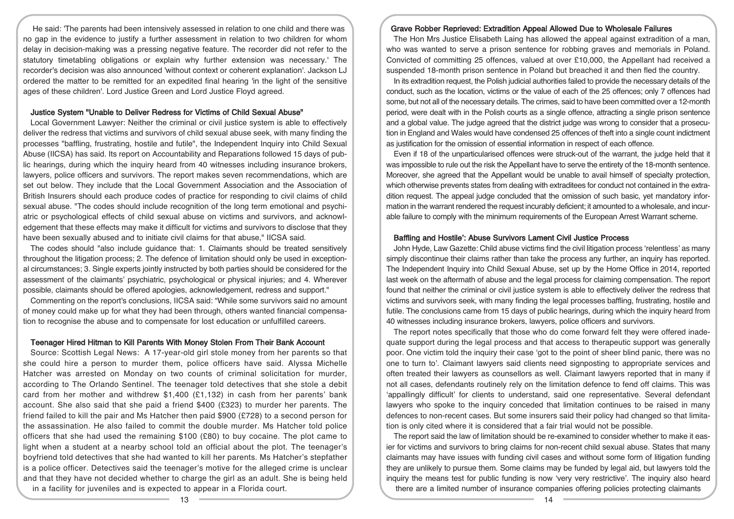He said: 'The parents had been intensively assessed in relation to one child and there was no gap in the evidence to justify a further assessment in relation to two children for whom delay in decision-making was a pressing negative feature. The recorder did not refer to the statutory timetabling obligations or explain why further extension was necessary.' The recorder's decision was also announced 'without context or coherent explanation'. Jackson LJ ordered the matter to be remitted for an expedited final hearing 'in the light of the sensitive ages of these children'. Lord Justice Green and Lord Justice Floyd agreed.

#### Justice System "Unable to Deliver Redress for Victims of Child Sexual Abuse"

Local Government Lawyer: Neither the criminal or civil justice system is able to effectively deliver the redress that victims and survivors of child sexual abuse seek, with many finding the processes "baffling, frustrating, hostile and futile", the Independent Inquiry into Child Sexual Abuse (IICSA) has said. Its report on Accountability and Reparations followed 15 days of public hearings, during which the inquiry heard from 40 witnesses including insurance brokers, lawyers, police officers and survivors. The report makes seven recommendations, which are set out below. They include that the Local Government Association and the Association of British Insurers should each produce codes of practice for responding to civil claims of child sexual abuse. "The codes should include recognition of the long term emotional and psychiatric or psychological effects of child sexual abuse on victims and survivors, and acknowledgement that these effects may make it difficult for victims and survivors to disclose that they have been sexually abused and to initiate civil claims for that abuse," IICSA said.

The codes should "also include guidance that: 1. Claimants should be treated sensitively throughout the litigation process; 2. The defence of limitation should only be used in exceptional circumstances; 3. Single experts jointly instructed by both parties should be considered for the assessment of the claimants' psychiatric, psychological or physical injuries; and 4. Wherever possible, claimants should be offered apologies, acknowledgement, redress and support."

Commenting on the report's conclusions, IICSA said: "While some survivors said no amount of money could make up for what they had been through, others wanted financial compensation to recognise the abuse and to compensate for lost education or unfulfilled careers.

#### Teenager Hired Hitman to Kill Parents With Money Stolen From Their Bank Account

Source: Scottish Legal News: A 17-year-old girl stole money from her parents so that she could hire a person to murder them, police officers have said. Alyssa Michelle Hatcher was arrested on Monday on two counts of criminal solicitation for murder, according to The Orlando Sentinel. The teenager told detectives that she stole a debit card from her mother and withdrew \$1,400 (£1,132) in cash from her parents' bank account. She also said that she paid a friend \$400 (£323) to murder her parents. The friend failed to kill the pair and Ms Hatcher then paid \$900 (£728) to a second person for the assassination. He also failed to commit the double murder. Ms Hatcher told police officers that she had used the remaining \$100 (£80) to buy cocaine. The plot came to light when a student at a nearby school told an official about the plot. The teenager's boyfriend told detectives that she had wanted to kill her parents. Ms Hatcher's stepfather is a police officer. Detectives said the teenager's motive for the alleged crime is unclear and that they have not decided whether to charge the girl as an adult. She is being held in a facility for juveniles and is expected to appear in a Florida court.

#### Grave Robber Reprieved: Extradition Appeal Allowed Due to Wholesale Failures

The Hon Mrs Justice Elisabeth Laing has allowed the appeal against extradition of a man, who was wanted to serve a prison sentence for robbing graves and memorials in Poland. Convicted of committing 25 offences, valued at over £10,000, the Appellant had received a suspended 18-month prison sentence in Poland but breached it and then fled the country.

In its extradition request, the Polish judicial authorities failed to provide the necessary details of the conduct, such as the location, victims or the value of each of the 25 offences; only 7 offences had some, but not all of the necessary details. The crimes, said to have been committed over a 12-month period, were dealt with in the Polish courts as a single offence, attracting a single prison sentence and a global value. The judge agreed that the district judge was wrong to consider that a prosecution in England and Wales would have condensed 25 offences of theft into a single count indictment as justification for the omission of essential information in respect of each offence.

Even if 18 of the unparticularised offences were struck-out of the warrant, the judge held that it was impossible to rule out the risk the Appellant have to serve the entirety of the 18-month sentence. Moreover, she agreed that the Appellant would be unable to avail himself of specialty protection, which otherwise prevents states from dealing with extraditees for conduct not contained in the extradition request. The appeal judge concluded that the omission of such basic, yet mandatory information in the warrant rendered the request incurably deficient; it amounted to a wholesale, and incurable failure to comply with the minimum requirements of the European Arrest Warrant scheme.

#### Baffling and Hostile': Abuse Survivors Lament Civil Justice Process

John Hyde, Law Gazette: Child abuse victims find the civil litigation process 'relentless' as many simply discontinue their claims rather than take the process any further, an inquiry has reported. The Independent Inquiry into Child Sexual Abuse, set up by the Home Office in 2014, reported last week on the aftermath of abuse and the legal process for claiming compensation. The report found that neither the criminal or civil justice system is able to effectively deliver the redress that victims and survivors seek, with many finding the legal processes baffling, frustrating, hostile and futile. The conclusions came from 15 days of public hearings, during which the inquiry heard from 40 witnesses including insurance brokers, lawyers, police officers and survivors.

The report notes specifically that those who do come forward felt they were offered inadequate support during the legal process and that access to therapeutic support was generally poor. One victim told the inquiry their case 'got to the point of sheer blind panic, there was no one to turn to'. Claimant lawyers said clients need signposting to appropriate services and often treated their lawyers as counsellors as well. Claimant lawyers reported that in many if not all cases, defendants routinely rely on the limitation defence to fend off claims. This was 'appallingly difficult' for clients to understand, said one representative. Several defendant lawyers who spoke to the inquiry conceded that limitation continues to be raised in many defences to non-recent cases. But some insurers said their policy had changed so that limitation is only cited where it is considered that a fair trial would not be possible.

The report said the law of limitation should be re-examined to consider whether to make it easier for victims and survivors to bring claims for non-recent child sexual abuse. States that many claimants may have issues with funding civil cases and without some form of litigation funding they are unlikely to pursue them. Some claims may be funded by legal aid, but lawyers told the inquiry the means test for public funding is now 'very very restrictive'. The inquiry also heard there are a limited number of insurance companies offering policies protecting claimants